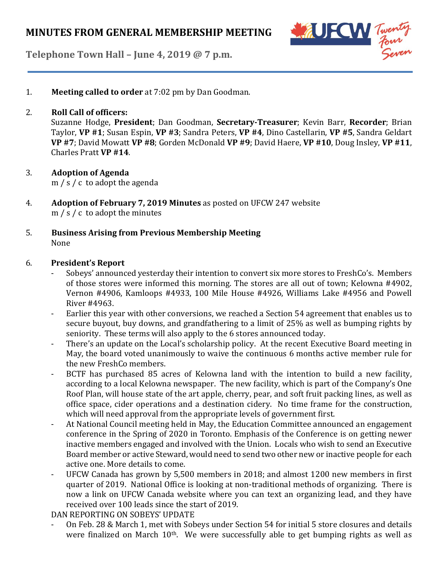

**Telephone Town Hall – June 4, 2019 @ 7 p.m.**

1. **Meeting called to order** at 7:02 pm by Dan Goodman.

## 2. **Roll Call of officers:**

Suzanne Hodge, **President**; Dan Goodman, **Secretary-Treasurer**; Kevin Barr, **Recorder**; Brian Taylor, **VP #1**; Susan Espin, **VP #3**; Sandra Peters, **VP #4**, Dino Castellarin, **VP #5**, Sandra Geldart **VP #7**; David Mowatt **VP #8**; Gorden McDonald **VP #9**; David Haere, **VP #10**, Doug Insley, **VP #11**, Charles Pratt **VP #14**.

# 3. **Adoption of Agenda**

m / s / c to adopt the agenda

- 4. **Adoption of February 7, 2019 Minutes** as posted on UFCW 247 website m / s / c to adopt the minutes
- 5. **Business Arising from Previous Membership Meeting** None

## 6. **President's Report**

- Sobeys' announced yesterday their intention to convert six more stores to FreshCo's. Members of those stores were informed this morning. The stores are all out of town; Kelowna #4902, Vernon #4906, Kamloops #4933, 100 Mile House #4926, Williams Lake #4956 and Powell River #4963.
- Earlier this year with other conversions, we reached a Section 54 agreement that enables us to secure buyout, buy downs, and grandfathering to a limit of 25% as well as bumping rights by seniority. These terms will also apply to the 6 stores announced today.
- There's an update on the Local's scholarship policy. At the recent Executive Board meeting in May, the board voted unanimously to waive the continuous 6 months active member rule for the new FreshCo members.
- BCTF has purchased 85 acres of Kelowna land with the intention to build a new facility, according to a local Kelowna newspaper. The new facility, which is part of the Company's One Roof Plan, will house state of the art apple, cherry, pear, and soft fruit packing lines, as well as office space, cider operations and a destination cidery. No time frame for the construction, which will need approval from the appropriate levels of government first.
- At National Council meeting held in May, the Education Committee announced an engagement conference in the Spring of 2020 in Toronto. Emphasis of the Conference is on getting newer inactive members engaged and involved with the Union. Locals who wish to send an Executive Board member or active Steward, would need to send two other new or inactive people for each active one. More details to come.
- UFCW Canada has grown by 5,500 members in 2018; and almost 1200 new members in first quarter of 2019. National Office is looking at non-traditional methods of organizing. There is now a link on UFCW Canada website where you can text an organizing lead, and they have received over 100 leads since the start of 2019.

DAN REPORTING ON SOBEYS' UPDATE

- On Feb. 28 & March 1, met with Sobeys under Section 54 for initial 5 store closures and details were finalized on March 10<sup>th</sup>. We were successfully able to get bumping rights as well as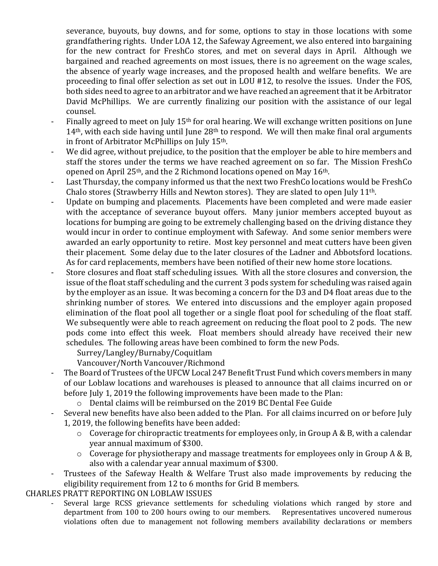severance, buyouts, buy downs, and for some, options to stay in those locations with some grandfathering rights. Under LOA 12, the Safeway Agreement, we also entered into bargaining for the new contract for FreshCo stores, and met on several days in April. Although we bargained and reached agreements on most issues, there is no agreement on the wage scales, the absence of yearly wage increases, and the proposed health and welfare benefits. We are proceeding to final offer selection as set out in LOU #12, to resolve the issues. Under the FOS, both sides need to agree to an arbitrator and we have reached an agreement that it be Arbitrator David McPhillips. We are currently finalizing our position with the assistance of our legal counsel.

- Finally agreed to meet on July 15<sup>th</sup> for oral hearing. We will exchange written positions on June 14<sup>th</sup>, with each side having until June 28<sup>th</sup> to respond. We will then make final oral arguments in front of Arbitrator McPhillips on July 15th.
- We did agree, without prejudice, to the position that the employer be able to hire members and staff the stores under the terms we have reached agreement on so far. The Mission FreshCo opened on April 25th, and the 2 Richmond locations opened on May 16th.
- Last Thursday, the company informed us that the next two FreshCo locations would be FreshCo Chalo stores (Strawberry Hills and Newton stores). They are slated to open July 11th.
- Update on bumping and placements. Placements have been completed and were made easier with the acceptance of severance buyout offers. Many junior members accepted buyout as locations for bumping are going to be extremely challenging based on the driving distance they would incur in order to continue employment with Safeway. And some senior members were awarded an early opportunity to retire. Most key personnel and meat cutters have been given their placement. Some delay due to the later closures of the Ladner and Abbotsford locations. As for card replacements, members have been notified of their new home store locations.
- Store closures and float staff scheduling issues. With all the store closures and conversion, the issue of the float staff scheduling and the current 3 pods system for scheduling was raised again by the employer as an issue. It was becoming a concern for the D3 and D4 float areas due to the shrinking number of stores. We entered into discussions and the employer again proposed elimination of the float pool all together or a single float pool for scheduling of the float staff. We subsequently were able to reach agreement on reducing the float pool to 2 pods. The new pods come into effect this week. Float members should already have received their new schedules. The following areas have been combined to form the new Pods.

Surrey/Langley/Burnaby/Coquitlam

Vancouver/North Vancouver/Richmond

- The Board of Trustees of the UFCW Local 247 Benefit Trust Fund which covers members in many of our Loblaw locations and warehouses is pleased to announce that all claims incurred on or before July 1, 2019 the following improvements have been made to the Plan:
	- o Dental claims will be reimbursed on the 2019 BC Dental Fee Guide
- Several new benefits have also been added to the Plan. For all claims incurred on or before July 1, 2019, the following benefits have been added:
	- $\circ$  Coverage for chiropractic treatments for employees only, in Group A & B, with a calendar year annual maximum of \$300.
	- o Coverage for physiotherapy and massage treatments for employees only in Group A & B, also with a calendar year annual maximum of \$300.
- Trustees of the Safeway Health & Welfare Trust also made improvements by reducing the eligibility requirement from 12 to 6 months for Grid B members.

CHARLES PRATT REPORTING ON LOBLAW ISSUES

Several large RCSS grievance settlements for scheduling violations which ranged by store and department from 100 to 200 hours owing to our members. Representatives uncovered numerous violations often due to management not following members availability declarations or members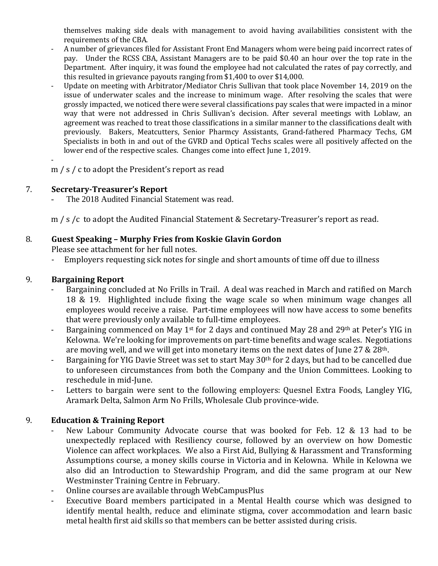themselves making side deals with management to avoid having availabilities consistent with the requirements of the CBA.

- A number of grievances filed for Assistant Front End Managers whom were being paid incorrect rates of pay. Under the RCSS CBA, Assistant Managers are to be paid \$0.40 an hour over the top rate in the Department. After inquiry, it was found the employee had not calculated the rates of pay correctly, and this resulted in grievance payouts ranging from \$1,400 to over \$14,000.
- Update on meeting with Arbitrator/Mediator Chris Sullivan that took place November 14, 2019 on the issue of underwater scales and the increase to minimum wage. After resolving the scales that were grossly impacted, we noticed there were several classifications pay scales that were impacted in a minor way that were not addressed in Chris Sullivan's decision. After several meetings with Loblaw, an agreement was reached to treat those classifications in a similar manner to the classifications dealt with previously. Bakers, Meatcutters, Senior Pharmcy Assistants, Grand-fathered Pharmacy Techs, GM Specialists in both in and out of the GVRD and Optical Techs scales were all positively affected on the lower end of the respective scales. Changes come into effect June 1, 2019.

 m / s / c to adopt the President's report as read

#### 7. **Secretary-Treasurer's Report**

The 2018 Audited Financial Statement was read.

m / s /c to adopt the Audited Financial Statement & Secretary-Treasurer's report as read.

## 8. **Guest Speaking – Murphy Fries from Koskie Glavin Gordon**

Please see attachment for her full notes.

Employers requesting sick notes for single and short amounts of time off due to illness

#### 9. **Bargaining Report**

- Bargaining concluded at No Frills in Trail. A deal was reached in March and ratified on March 18 & 19. Highlighted include fixing the wage scale so when minimum wage changes all employees would receive a raise. Part-time employees will now have access to some benefits that were previously only available to full-time employees.
- Bargaining commenced on May 1<sup>st</sup> for 2 days and continued May 28 and 29<sup>th</sup> at Peter's YIG in Kelowna. We're looking for improvements on part-time benefits and wage scales. Negotiations are moving well, and we will get into monetary items on the next dates of June 27 & 28th.
- Bargaining for YIG Davie Street was set to start May 30<sup>th</sup> for 2 days, but had to be cancelled due to unforeseen circumstances from both the Company and the Union Committees. Looking to reschedule in mid-June.
- Letters to bargain were sent to the following employers: Quesnel Extra Foods, Langley YIG, Aramark Delta, Salmon Arm No Frills, Wholesale Club province-wide.

## 9. **Education & Training Report**

- New Labour Community Advocate course that was booked for Feb. 12 & 13 had to be unexpectedly replaced with Resiliency course, followed by an overview on how Domestic Violence can affect workplaces. We also a First Aid, Bullying & Harassment and Transforming Assumptions course, a money skills course in Victoria and in Kelowna. While in Kelowna we also did an Introduction to Stewardship Program, and did the same program at our New Westminster Training Centre in February.
- Online courses are available through WebCampusPlus
- Executive Board members participated in a Mental Health course which was designed to identify mental health, reduce and eliminate stigma, cover accommodation and learn basic metal health first aid skills so that members can be better assisted during crisis.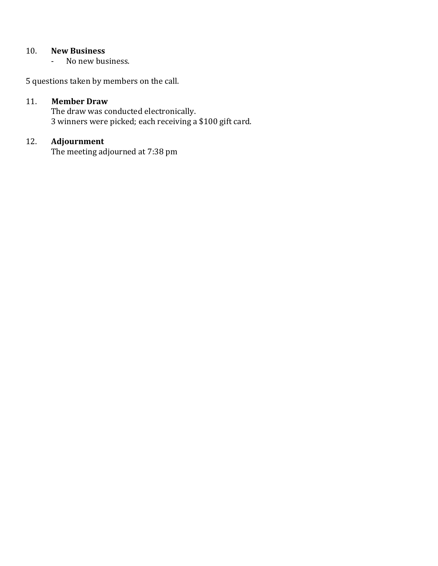## 10. **New Business**

- No new business.

5 questions taken by members on the call.

#### 11. **Member Draw**

The draw was conducted electronically. 3 winners were picked; each receiving a \$100 gift card.

## 12. **Adjournment**

The meeting adjourned at 7:38 pm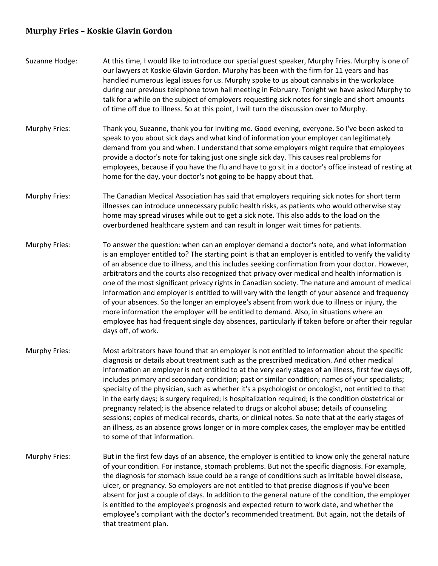#### **Murphy Fries – Koskie Glavin Gordon**

- Suzanne Hodge: At this time, I would like to introduce our special guest speaker, Murphy Fries. Murphy is one of our lawyers at Koskie Glavin Gordon. Murphy has been with the firm for 11 years and has handled numerous legal issues for us. Murphy spoke to us about cannabis in the workplace during our previous telephone town hall meeting in February. Tonight we have asked Murphy to talk for a while on the subject of employers requesting sick notes for single and short amounts of time off due to illness. So at this point, I will turn the discussion over to Murphy.
- Murphy Fries: Thank you, Suzanne, thank you for inviting me. Good evening, everyone. So I've been asked to speak to you about sick days and what kind of information your employer can legitimately demand from you and when. I understand that some employers might require that employees provide a doctor's note for taking just one single sick day. This causes real problems for employees, because if you have the flu and have to go sit in a doctor's office instead of resting at home for the day, your doctor's not going to be happy about that.
- Murphy Fries: The Canadian Medical Association has said that employers requiring sick notes for short term illnesses can introduce unnecessary public health risks, as patients who would otherwise stay home may spread viruses while out to get a sick note. This also adds to the load on the overburdened healthcare system and can result in longer wait times for patients.
- Murphy Fries: To answer the question: when can an employer demand a doctor's note, and what information is an employer entitled to? The starting point is that an employer is entitled to verify the validity of an absence due to illness, and this includes seeking confirmation from your doctor. However, arbitrators and the courts also recognized that privacy over medical and health information is one of the most significant privacy rights in Canadian society. The nature and amount of medical information and employer is entitled to will vary with the length of your absence and frequency of your absences. So the longer an employee's absent from work due to illness or injury, the more information the employer will be entitled to demand. Also, in situations where an employee has had frequent single day absences, particularly if taken before or after their regular days off, of work.
- Murphy Fries: Most arbitrators have found that an employer is not entitled to information about the specific diagnosis or details about treatment such as the prescribed medication. And other medical information an employer is not entitled to at the very early stages of an illness, first few days off, includes primary and secondary condition; past or similar condition; names of your specialists; specialty of the physician, such as whether it's a psychologist or oncologist, not entitled to that in the early days; is surgery required; is hospitalization required; is the condition obstetrical or pregnancy related; is the absence related to drugs or alcohol abuse; details of counseling sessions; copies of medical records, charts, or clinical notes. So note that at the early stages of an illness, as an absence grows longer or in more complex cases, the employer may be entitled to some of that information.
- Murphy Fries: But in the first few days of an absence, the employer is entitled to know only the general nature of your condition. For instance, stomach problems. But not the specific diagnosis. For example, the diagnosis for stomach issue could be a range of conditions such as irritable bowel disease, ulcer, or pregnancy. So employers are not entitled to that precise diagnosis if you've been absent for just a couple of days. In addition to the general nature of the condition, the employer is entitled to the employee's prognosis and expected return to work date, and whether the employee's compliant with the doctor's recommended treatment. But again, not the details of that treatment plan.